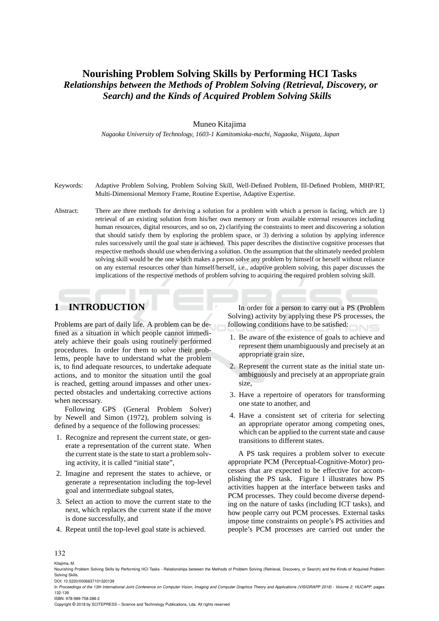# **Nourishing Problem Solving Skills by Performing HCI Tasks** *Relationships between the Methods of Problem Solving (Retrieval, Discovery, or Search) and the Kinds of Acquired Problem Solving Skills*

#### Muneo Kitajima

*Nagaoka University of Technology, 1603-1 Kamitomioka-machi, Nagaoka, Niigata, Japan*

- Keywords: Adaptive Problem Solving, Problem Solving Skill, Well-Defined Problem, Ill-Defined Problem, MHP/RT, Multi-Dimensional Memory Frame, Routine Expertise, Adaptive Expertise.
- Abstract: There are three methods for deriving a solution for a problem with which a person is facing, which are 1) retrieval of an existing solution from his/her own memory or from available external resources including human resources, digital resources, and so on, 2) clarifying the constraints to meet and discovering a solution that should satisfy them by exploring the problem space, or 3) deriving a solution by applying inference rules successively until the goal state is achieved. This paper describes the distinctive cognitive processes that respective methods should use when deriving a solution. On the assumption that the ultimately needed problem solving skill would be the one which makes a person solve any problem by himself or herself without reliance on any external resources other than himself/herself, i.e., adaptive problem solving, this paper discusses the implications of the respective methods of problem solving to acquiring the required problem solving skill.

# **1 INTRODUCTION**

Problems are part of daily life. A problem can be defined as a situation in which people cannot immediately achieve their goals using routinely performed procedures. In order for them to solve their problems, people have to understand what the problem is, to find adequate resources, to undertake adequate actions, and to monitor the situation until the goal is reached, getting around impasses and other unexpected obstacles and undertaking corrective actions when necessary.

Following GPS (General Problem Solver) by Newell and Simon (1972), problem solving is defined by a sequence of the following processes:

- 1. Recognize and represent the current state, or generate a representation of the current state. When the current state is the state to start a problem solving activity, it is called "initial state",
- 2. Imagine and represent the states to achieve, or generate a representation including the top-level goal and intermediate subgoal states,
- 3. Select an action to move the current state to the next, which replaces the current state if the move is done successfully, and
- 4. Repeat until the top-level goal state is achieved.

In order for a person to carry out a PS (Problem Solving) activity by applying these PS processes, the following conditions have to be satisfied:

- 1. Be aware of the existence of goals to achieve and represent them unambiguously and precisely at an appropriate grain size,
- 2. Represent the current state as the initial state unambiguously and precisely at an appropriate grain size,
- 3. Have a repertoire of operators for transforming one state to another, and
- 4. Have a consistent set of criteria for selecting an appropriate operator among competing ones, which can be applied to the current state and cause transitions to different states.

A PS task requires a problem solver to execute appropriate PCM (Perceptual-Cognitive-Motor) processes that are expected to be effective for accomplishing the PS task. Figure 1 illustrates how PS activities happen at the interface between tasks and PCM processes. They could become diverse depending on the nature of tasks (including ICT tasks), and how people carry out PCM processes. External tasks impose time constraints on people's PS activities and people's PCM processes are carried out under the

#### 132

Kitajima, M.

- In *Proceedings of the 13th International Joint Conference on Computer Vision, Imaging and Computer Graphics Theory and Applications (VISIGRAPP 2018) Volume 2: HUCAPP*, pages 132-139
- ISBN: 978-989-758-288-2

Copyright © 2018 by SCITEPRESS – Science and Technology Publications, Lda. All rights reserved

Nourishing Problem Solving Skills by Performing HCI Tasks - Relationships between the Methods of Problem Solving (Retrieval, Discovery, or Search) and the Kinds of Acquired Problem Solving Skills. DOI: 10.5220/0006637101320139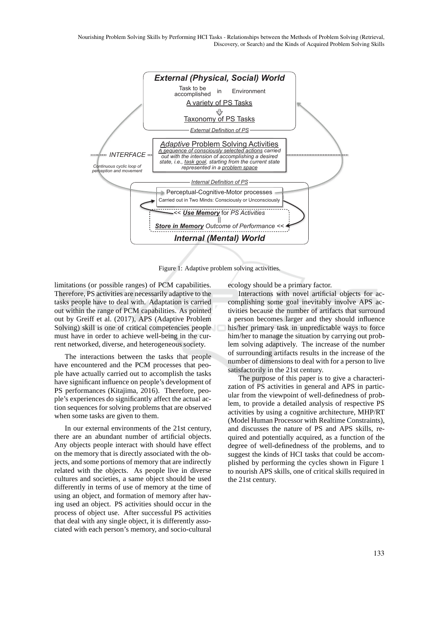

Figure 1: Adaptive problem solving activities.

limitations (or possible ranges) of PCM capabilities. Therefore, PS activities are necessarily adaptive to the tasks people have to deal with. Adaptation is carried out within the range of PCM capabilities. As pointed out by Greiff et al. (2017), APS (Adaptive Problem Solving) skill is one of critical competencies people must have in order to achieve well-being in the current networked, diverse, and heterogeneous society.

The interactions between the tasks that people have encountered and the PCM processes that people have actually carried out to accomplish the tasks have significant influence on people's development of PS performances (Kitajima, 2016). Therefore, people's experiences do significantly affect the actual action sequences for solving problems that are observed when some tasks are given to them.

In our external environments of the 21st century, there are an abundant number of artificial objects. Any objects people interact with should have effect on the memory that is directly associated with the objects, and some portions of memory that are indirectly related with the objects. As people live in diverse cultures and societies, a same object should be used differently in terms of use of memory at the time of using an object, and formation of memory after having used an object. PS activities should occur in the process of object use. After successful PS activities that deal with any single object, it is differently associated with each person's memory, and socio-cultural ecology should be a primary factor.

Interactions with novel artificial objects for accomplishing some goal inevitably involve APS activities because the number of artifacts that surround a person becomes larger and they should influence his/her primary task in unpredictable ways to force him/her to manage the situation by carrying out problem solving adaptively. The increase of the number of surrounding artifacts results in the increase of the number of dimensions to deal with for a person to live satisfactorily in the 21st century.

The purpose of this paper is to give a characterization of PS activities in general and APS in particular from the viewpoint of well-definedness of problem, to provide a detailed analysis of respective PS activities by using a cognitive architecture, MHP/RT (Model Human Processor with Realtime Constraints), and discusses the nature of PS and APS skills, required and potentially acquired, as a function of the degree of well-definedness of the problems, and to suggest the kinds of HCI tasks that could be accomplished by performing the cycles shown in Figure 1 to nourish APS skills, one of critical skills required in the 21st century.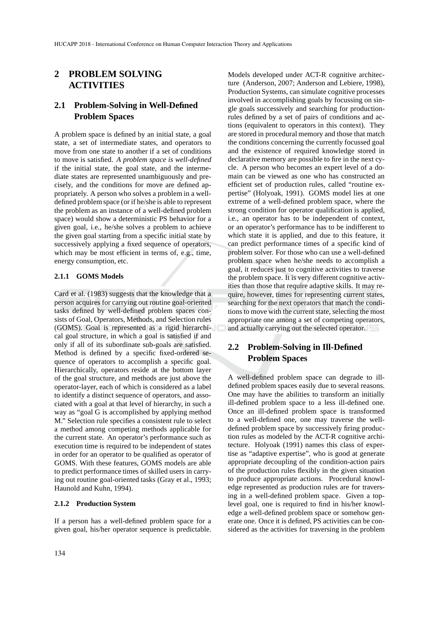# **2 PROBLEM SOLVING ACTIVITIES**

## **2.1 Problem-Solving in Well-Defined Problem Spaces**

A problem space is defined by an initial state, a goal state, a set of intermediate states, and operators to move from one state to another if a set of conditions to move is satisfied. *A problem space is well-defined* if the initial state, the goal state, and the intermediate states are represented unambiguously and precisely, and the conditions for move are defined appropriately. A person who solves a problem in a welldefined problem space (or if he/she is able to represent the problem as an instance of a well-defined problem space) would show a deterministic PS behavior for a given goal, i.e., he/she solves a problem to achieve the given goal starting from a specific initial state by successively applying a fixed sequence of operators, which may be most efficient in terms of, e.g., time, energy consumption, etc.

#### **2.1.1 GOMS Models**

Card et al. (1983) suggests that the knowledge that a person acquires for carrying out routine goal-oriented tasks defined by well-defined problem spaces consists of Goal, Operators, Methods, and Selection rules (GOMS). Goal is represented as a rigid hierarchical goal structure, in which a goal is satisfied if and only if all of its subordinate sub-goals are satisfied. Method is defined by a specific fixed-ordered sequence of operators to accomplish a specific goal. Hierarchically, operators reside at the bottom layer of the goal structure, and methods are just above the operator-layer, each of which is considered as a label to identify a distinct sequence of operators, and associated with a goal at that level of hierarchy, in such a way as "goal G is accomplished by applying method M." Selection rule specifies a consistent rule to select a method among competing methods applicable for the current state. An operator's performance such as execution time is required to be independent of states in order for an operator to be qualified as operator of GOMS. With these features, GOMS models are able to predict performance times of skilled users in carrying out routine goal-oriented tasks (Gray et al., 1993; Haunold and Kuhn, 1994).

#### **2.1.2 Production System**

If a person has a well-defined problem space for a given goal, his/her operator sequence is predictable.

Models developed under ACT-R cognitive architecture (Anderson, 2007; Anderson and Lebiere, 1998), Production Systems, can simulate cognitive processes involved in accomplishing goals by focussing on single goals successively and searching for productionrules defined by a set of pairs of conditions and actions (equivalent to operators in this context). They are stored in procedural memory and those that match the conditions concerning the currently focussed goal and the existence of required knowledge stored in declarative memory are possible to fire in the next cycle. A person who becomes an expert level of a domain can be viewed as one who has constructed an efficient set of production rules, called "routine expertise" (Holyoak, 1991). GOMS model lies at one extreme of a well-defined problem space, where the strong condition for operator qualification is applied, i.e., an operator has to be independent of context, or an operator's performance has to be indifferent to which state it is applied, and due to this feature, it can predict performance times of a specific kind of problem solver. For those who can use a well-defined problem space when he/she needs to accomplish a goal, it reduces just to cognitive activities to traverse the problem space. It is very different cognitive activities than those that require adaptive skills. It may require, however, times for representing current states, searching for the next operators that match the conditions to move with the current state, selecting the most appropriate one among a set of competing operators, and actually carrying out the selected operator.

# **2.2 Problem-Solving in Ill-Defined Problem Spaces**

A well-defined problem space can degrade to illdefined problem spaces easily due to several reasons. One may have the abilities to transform an initially ill-defined problem space to a less ill-defined one. Once an ill-defined problem space is transformed to a well-defined one, one may traverse the welldefined problem space by successively firing production rules as modeled by the ACT-R cognitive architecture. Holyoak (1991) names this class of expertise as "adaptive expertise", who is good at generate appropriate decoupling of the condition-action pairs of the production rules flexibly in the given situation to produce appropriate actions. Procedural knowledge represented as production rules are for traversing in a well-defined problem space. Given a toplevel goal, one is required to find in his/her knowledge a well-defined problem space or somehow generate one. Once it is defined, PS activities can be considered as the activities for traversing in the problem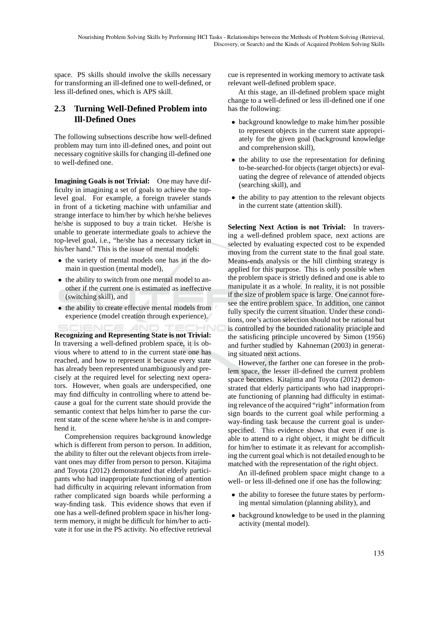space. PS skills should involve the skills necessary for transforming an ill-defined one to well-defined, or less ill-defined ones, which is APS skill.

# **2.3 Turning Well-Defined Problem into Ill-Defined Ones**

The following subsections describe how well-defined problem may turn into ill-defined ones, and point out necessary cognitive skills for changing ill-defined one to well-defined one.

**Imagining Goals is not Trivial:** One may have difficulty in imagining a set of goals to achieve the toplevel goal. For example, a foreign traveler stands in front of a ticketing machine with unfamiliar and strange interface to him/her by which he/she believes he/she is supposed to buy a train ticket. He/she is unable to generate intermediate goals to achieve the top-level goal, i.e., "he/she has a necessary ticket in his/her hand." This is the issue of mental models:

- the variety of mental models one has in the domain in question (mental model),
- the ability to switch from one mental model to another if the current one is estimated as ineffective (switching skill), and
- the ability to create effective mental models from experience (model creation through experience).

**Recognizing and Representing State is not Trivial:** In traversing a well-defined problem space, it is obvious where to attend to in the current state one has reached, and how to represent it because every state has already been represented unambiguously and precisely at the required level for selecting next operators. However, when goals are underspecified, one may find difficulty in controlling where to attend because a goal for the current state should provide the semantic context that helps him/her to parse the current state of the scene where he/she is in and comprehend it.

Comprehension requires background knowledge which is different from person to person. In addition, the ability to filter out the relevant objects from irrelevant ones may differ from person to person. Kitajima and Toyota (2012) demonstrated that elderly participants who had inappropriate functioning of attention had difficulty in acquiring relevant information from rather complicated sign boards while performing a way-finding task. This evidence shows that even if one has a well-defined problem space in his/her longterm memory, it might be difficult for him/her to activate it for use in the PS activity. No effective retrieval

cue is represented in working memory to activate task relevant well-defined problem space.

At this stage, an ill-defined problem space might change to a well-defined or less ill-defined one if one has the following:

- background knowledge to make him/her possible to represent objects in the current state appropriately for the given goal (background knowledge and comprehension skill),
- the ability to use the representation for defining to-be-searched-for objects (target objects) or evaluating the degree of relevance of attended objects (searching skill), and
- the ability to pay attention to the relevant objects in the current state (attention skill).

**Selecting Next Action is not Trivial:** In traversing a well-defined problem space, next actions are selected by evaluating expected cost to be expended moving from the current state to the final goal state. Means-ends analysis or the hill climbing strategy is applied for this purpose. This is only possible when the problem space is strictly defined and one is able to manipulate it as a whole. In reality, it is not possible if the size of problem space is large. One cannot foresee the entire problem space. In addition, one cannot fully specify the current situation. Under these conditions, one's action selection should not be rational but is controlled by the bounded rationality principle and the satisficing principle uncovered by Simon (1956) and further studied by Kahneman (2003) in generating situated next actions.

However, the farther one can foresee in the problem space, the lesser ill-defined the current problem space becomes. Kitajima and Toyota (2012) demonstrated that elderly participants who had inappropriate functioning of planning had difficulty in estimating relevance of the acquired "right" information from sign boards to the current goal while performing a way-finding task because the current goal is underspecified. This evidence shows that even if one is able to attend to a right object, it might be difficult for him/her to estimate it as relevant for accomplishing the current goal which is not detailed enough to be matched with the representation of the right object.

An ill-defined problem space might change to a well- or less ill-defined one if one has the following:

- the ability to foresee the future states by performing mental simulation (planning ability), and
- background knowledge to be used in the planning activity (mental model).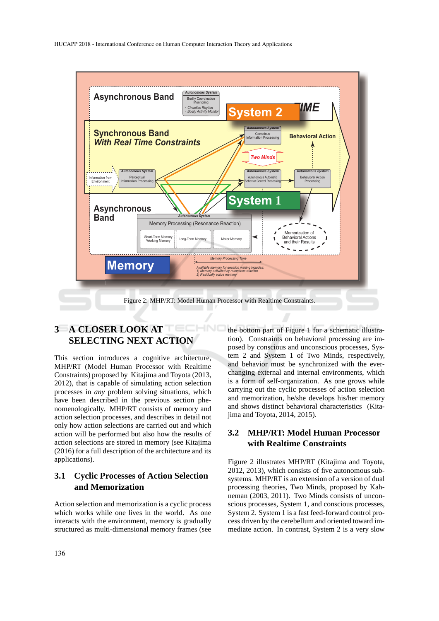

#### HNC **3 A CLOSER LOOK AT SELECTING NEXT ACTION**

This section introduces a cognitive architecture, MHP/RT (Model Human Processor with Realtime Constraints) proposed by Kitajima and Toyota (2013, 2012), that is capable of simulating action selection processes in *any* problem solving situations, which have been described in the previous section phenomenologically. MHP/RT consists of memory and action selection processes, and describes in detail not only how action selections are carried out and which action will be performed but also how the results of action selections are stored in memory (see Kitajima (2016) for a full description of the architecture and its applications).

# **3.1 Cyclic Processes of Action Selection and Memorization**

Action selection and memorization is a cyclic process which works while one lives in the world. As one interacts with the environment, memory is gradually structured as multi-dimensional memory frames (see the bottom part of Figure 1 for a schematic illustration). Constraints on behavioral processing are imposed by conscious and unconscious processes, System 2 and System 1 of Two Minds, respectively, and behavior must be synchronized with the everchanging external and internal environments, which is a form of self-organization. As one grows while carrying out the cyclic processes of action selection and memorization, he/she develops his/her memory and shows distinct behavioral characteristics (Kitajima and Toyota, 2014, 2015).

### **3.2 MHP/RT: Model Human Processor with Realtime Constraints**

Figure 2 illustrates MHP/RT (Kitajima and Toyota, 2012, 2013), which consists of five autonomous subsystems. MHP/RT is an extension of a version of dual processing theories, Two Minds, proposed by Kahneman (2003, 2011). Two Minds consists of unconscious processes, System 1, and conscious processes, System 2. System 1 is a fast feed-forward control process driven by the cerebellum and oriented toward immediate action. In contrast, System 2 is a very slow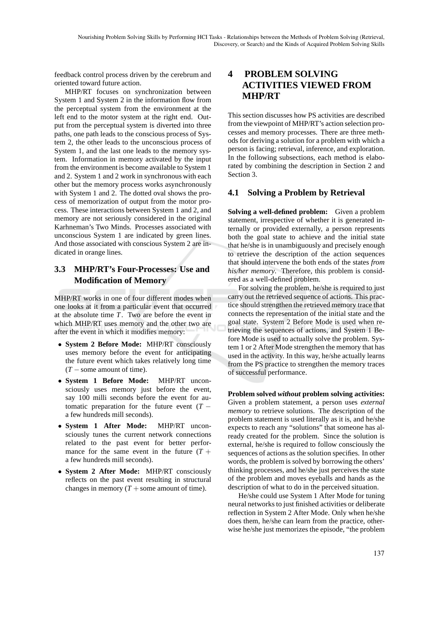feedback control process driven by the cerebrum and oriented toward future action.

MHP/RT focuses on synchronization between System 1 and System 2 in the information flow from the perceptual system from the environment at the left end to the motor system at the right end. Output from the perceptual system is diverted into three paths, one path leads to the conscious process of System 2, the other leads to the unconscious process of System 1, and the last one leads to the memory system. Information in memory activated by the input from the environment is become available to System 1 and 2. System 1 and 2 work in synchronous with each other but the memory process works asynchronously with System 1 and 2. The dotted oval shows the process of memorization of output from the motor process. These interactions between System 1 and 2, and memory are not seriously considered in the original Karhneman's Two Minds. Processes associated with unconscious System 1 are indicated by green lines. And those associated with conscious System 2 are indicated in orange lines.

## **3.3 MHP/RT's Four-Processes: Use and Modification of Memory**

MHP/RT works in one of four different modes when one looks at it from a particular event that occurred at the absolute time *T*. Two are before the event in which MHP/RT uses memory and the other two are after the event in which it modifies memory:

- **System 2 Before Mode:** MHP/RT consciously uses memory before the event for anticipating the future event which takes relatively long time  $(T -$ some amount of time).
- **System 1 Before Mode:** MHP/RT unconsciously uses memory just before the event, say 100 milli seconds before the event for automatic preparation for the future event  $(T$ a few hundreds mill seconds).
- **System 1 After Mode:** MHP/RT unconsciously tunes the current network connections related to the past event for better performance for the same event in the future  $(T +$ a few hundreds mill seconds).
- **System 2 After Mode:** MHP/RT consciously reflects on the past event resulting in structural changes in memory  $(T +$ some amount of time).

# **4 PROBLEM SOLVING ACTIVITIES VIEWED FROM MHP/RT**

This section discusses how PS activities are described from the viewpoint of MHP/RT's action selection processes and memory processes. There are three methods for deriving a solution for a problem with which a person is facing; retrieval, inference, and exploration. In the following subsections, each method is elaborated by combining the description in Section 2 and Section 3.

#### **4.1 Solving a Problem by Retrieval**

**Solving a well-defined problem:** Given a problem statement, irrespective of whether it is generated internally or provided externally, a person represents both the goal state to achieve and the initial state that he/she is in unambiguously and precisely enough to retrieve the description of the action sequences that should intervene the both ends of the states *from his/her memory*. Therefore, this problem is considered as a well-defined problem.

For solving the problem, he/she is required to just carry out the retrieved sequence of actions. This practice should strengthen the retrieved memory trace that connects the representation of the initial state and the goal state. System 2 Before Mode is used when retrieving the sequences of actions, and System 1 Before Mode is used to actually solve the problem. System 1 or 2 After Mode strengthen the memory that has used in the activity. In this way, he/she actually learns from the PS practice to strengthen the memory traces of successful performance.

**Problem solved** *without* **problem solving activities:** Given a problem statement, a person uses *external memory* to retrieve solutions. The description of the problem statement is used literally as it is, and he/she expects to reach any "solutions" that someone has already created for the problem. Since the solution is external, he/she is required to follow consciously the sequences of actions as the solution specifies. In other words, the problem is solved by borrowing the others' thinking processes, and he/she just perceives the state of the problem and moves eyeballs and hands as the description of what to do in the perceived situation.

He/she could use System 1 After Mode for tuning neural networks to just finished activities or deliberate reflection in System 2 After Mode. Only when he/she does them, he/she can learn from the practice, otherwise he/she just memorizes the episode, "the problem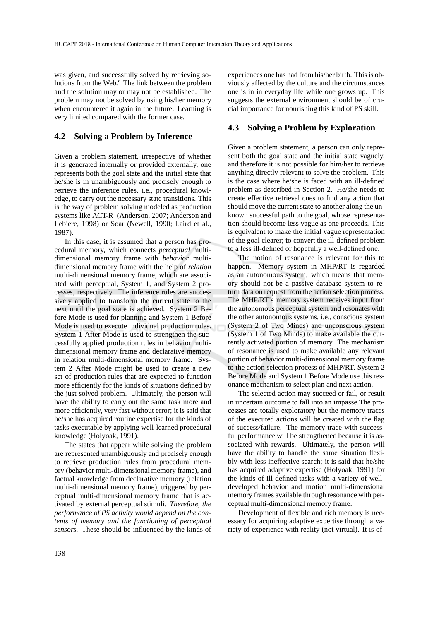was given, and successfully solved by retrieving solutions from the Web." The link between the problem and the solution may or may not be established. The problem may not be solved by using his/her memory when encountered it again in the future. Learning is very limited compared with the former case.

#### **4.2 Solving a Problem by Inference**

Given a problem statement, irrespective of whether it is generated internally or provided externally, one represents both the goal state and the initial state that he/she is in unambiguously and precisely enough to retrieve the inference rules, i.e., procedural knowledge, to carry out the necessary state transitions. This is the way of problem solving modeled as production systems like ACT-R (Anderson, 2007; Anderson and Lebiere, 1998) or Soar (Newell, 1990; Laird et al., 1987).

In this case, it is assumed that a person has procedural memory, which connects *perceptual* multidimensional memory frame with *behavior* multidimensional memory frame with the help of *relation* multi-dimensional memory frame, which are associated with perceptual, System 1, and System 2 processes, respectively. The inference rules are successively applied to transform the current state to the next until the goal state is achieved. System 2 Before Mode is used for planning and System 1 Before Mode is used to execute individual production rules. System 1 After Mode is used to strengthen the successfully applied production rules in behavior multidimensional memory frame and declarative memory in relation multi-dimensional memory frame. System 2 After Mode might be used to create a new set of production rules that are expected to function more efficiently for the kinds of situations defined by the just solved problem. Ultimately, the person will have the ability to carry out the same task more and more efficiently, very fast without error; it is said that he/she has acquired routine expertise for the kinds of tasks executable by applying well-learned procedural knowledge (Holyoak, 1991).

The states that appear while solving the problem are represented unambiguously and precisely enough to retrieve production rules from procedural memory (behavior multi-dimensional memory frame), and factual knowledge from declarative memory (relation multi-dimensional memory frame), triggered by perceptual multi-dimensional memory frame that is activated by external perceptual stimuli. *Therefore, the performance of PS activity would depend on the contents of memory and the functioning of perceptual sensors.* These should be influenced by the kinds of experiences one has had from his/her birth. This is obviously affected by the culture and the circumstances one is in in everyday life while one grows up. This suggests the external environment should be of crucial importance for nourishing this kind of PS skill.

#### **4.3 Solving a Problem by Exploration**

Given a problem statement, a person can only represent both the goal state and the initial state vaguely, and therefore it is not possible for him/her to retrieve anything directly relevant to solve the problem. This is the case where he/she is faced with an ill-defined problem as described in Section 2. He/she needs to create effective retrieval cues to find any action that should move the current state to another along the unknown successful path to the goal, whose representation should become less vague as one proceeds. This is equivalent to make the initial vague representation of the goal clearer; to convert the ill-defined problem to a less ill-defined or hopefully a well-defined one.

The notion of resonance is relevant for this to happen. Memory system in MHP/RT is regarded as an autonomous system, which means that memory should not be a passive database system to return data on request from the action selection process. The MHP/RT's memory system receives input from the autonomous perceptual system and resonates with the other autonomous systems, i.e., conscious system (System 2 of Two Minds) and unconscious system (System 1 of Two Minds) to make available the currently activated portion of memory. The mechanism of resonance is used to make available any relevant portion of behavior multi-dimensional memory frame to the action selection process of MHP/RT. System 2 Before Mode and System 1 Before Mode use this resonance mechanism to select plan and next action.

The selected action may succeed or fail, or result in uncertain outcome to fall into an impasse.The processes are totally exploratory but the memory traces of the executed actions will be created with the flag of success/failure. The memory trace with successful performance will be strengthened because it is associated with rewards. Ultimately, the person will have the ability to handle the same situation flexibly with less ineffective search; it is said that he/she has acquired adaptive expertise (Holyoak, 1991) for the kinds of ill-defined tasks with a variety of welldeveloped behavior and motion multi-dimensional memory frames available through resonance with perceptual multi-dimensional memory frame.

Development of flexible and rich memory is necessary for acquiring adaptive expertise through a variety of experience with reality (not virtual). It is of